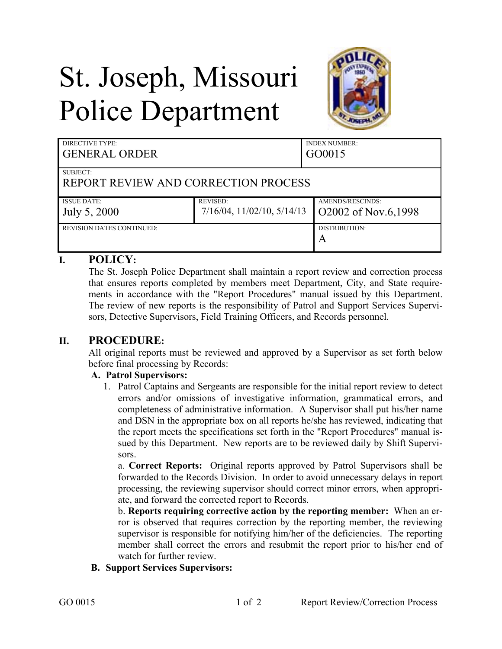# St. Joseph, Missouri Police Department



| DIRECTIVE TYPE:<br><b>GENERAL ORDER</b> |                                    | <b>INDEX NUMBER:</b><br>GO0015 |
|-----------------------------------------|------------------------------------|--------------------------------|
| SUBJECT:                                |                                    |                                |
| REPORT REVIEW AND CORRECTION PROCESS    |                                    |                                |
| <b>ISSUE DATE:</b>                      | <b>REVISED:</b>                    | AMENDS/RESCINDS:               |
| July 5, 2000                            | $7/16/04$ , $11/02/10$ , $5/14/13$ | O2002 of Nov.6,1998            |
| <b>REVISION DATES CONTINUED:</b>        |                                    | DISTRIBUTION:                  |
|                                         |                                    | A                              |

## **I. POLICY:**

The St. Joseph Police Department shall maintain a report review and correction process that ensures reports completed by members meet Department, City, and State requirements in accordance with the "Report Procedures" manual issued by this Department. The review of new reports is the responsibility of Patrol and Support Services Supervisors, Detective Supervisors, Field Training Officers, and Records personnel.

## **II. PROCEDURE:**

All original reports must be reviewed and approved by a Supervisor as set forth below before final processing by Records:

#### **A. Patrol Supervisors:**

1. Patrol Captains and Sergeants are responsible for the initial report review to detect errors and/or omissions of investigative information, grammatical errors, and completeness of administrative information. A Supervisor shall put his/her name and DSN in the appropriate box on all reports he/she has reviewed, indicating that the report meets the specifications set forth in the "Report Procedures" manual issued by this Department. New reports are to be reviewed daily by Shift Supervisors.

a. **Correct Reports:** Original reports approved by Patrol Supervisors shall be forwarded to the Records Division. In order to avoid unnecessary delays in report processing, the reviewing supervisor should correct minor errors, when appropriate, and forward the corrected report to Records.

b. **Reports requiring corrective action by the reporting member:** When an error is observed that requires correction by the reporting member, the reviewing supervisor is responsible for notifying him/her of the deficiencies. The reporting member shall correct the errors and resubmit the report prior to his/her end of watch for further review.

#### **B. Support Services Supervisors:**